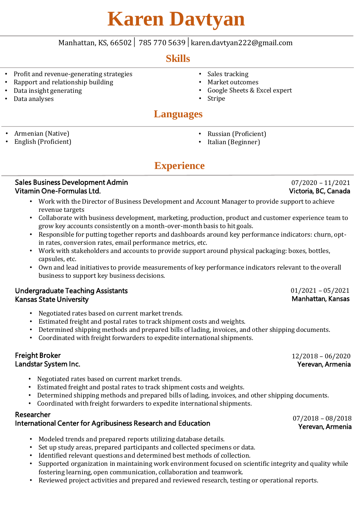# **Karen Davtyan**

### Manhattan, KS, 66502│ 785 770 5639│karen.davtyan222@gmail.com

## **Skills**

- Profit and revenue-generating strategies
- Rapport and relationship building
- Data insight generating
- Data analyses
- Sales tracking
- Market outcomes
- Google Sheets & Excel expert
- Stripe

# **Languages**

- Armenian (Native)
- English (Proficient)
- Russian (Proficient)
- Italian (Beginner)

# **Experience**

#### Sales Business Development Admin Vitamin One-Formulas Ltd.

- Work with the Director of Business Development and Account Manager to provide support to achieve revenue targets
- Collaborate with business development, marketing, production, product and customer experience team to grow key accounts consistently on a month-over-month basis to hit goals.
- Responsible for putting together reports and dashboards around key performance indicators: churn, optin rates, conversion rates, email performance metrics, etc.
- Work with stakeholders and accounts to provide support around physical packaging: boxes, bottles, capsules, etc.
- Own and lead initiatives to provide measurements of key performance indicators relevant to the overall business to support key business decisions.

#### Undergraduate Teaching Assistants Kansas State University

- Negotiated rates based on current market trends.
- Estimated freight and postal rates to track shipment costs and weights.
- Determined shipping methods and prepared bills of lading, invoices, and other shipping documents.
- Coordinated with freight forwarders to expedite international shipments.

#### Freight Broker Landstar System Inc.

- Negotiated rates based on current market trends.
- Estimated freight and postal rates to track shipment costs and weights.
- Determined shipping methods and prepared bills of lading, invoices, and other shipping documents.
- Coordinated with freight forwarders to expedite international shipments.

#### Researcher International Center for Agribusiness Research and Education

- Modeled trends and prepared reports utilizing database details.
- Set up study areas, prepared participants and collected specimens or data.
- Identified relevant questions and determined best methods of collection.
- Supported organization in maintaining work environment focused on scientific integrity and quality while fostering learning, open communication, collaboration and teamwork.
- Reviewed project activities and prepared and reviewed research, testing or operational reports.

#### 07/2020 – 11/2021 Victoria, BC, Canada

01/2021 – 05/2021 Manhattan, Kansas

07/2018 – 08/2018

12/2018 – 06/2020 Yerevan, Armenia

Yerevan, Armenia